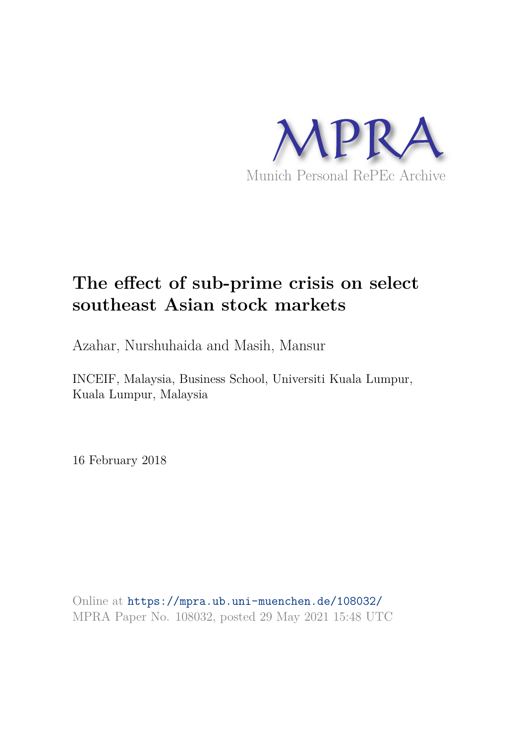

# **The effect of sub-prime crisis on select southeast Asian stock markets**

Azahar, Nurshuhaida and Masih, Mansur

INCEIF, Malaysia, Business School, Universiti Kuala Lumpur, Kuala Lumpur, Malaysia

16 February 2018

Online at https://mpra.ub.uni-muenchen.de/108032/ MPRA Paper No. 108032, posted 29 May 2021 15:48 UTC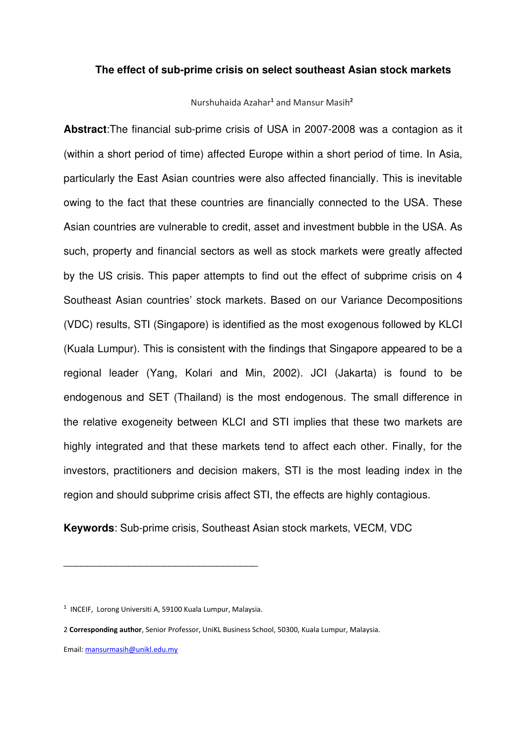## **The effect of sub-prime crisis on select southeast Asian stock markets**

#### Nurshuhaida Azahar<sup>1</sup> and Mansur Masih<sup>2</sup>

**Abstract**:The financial sub-prime crisis of USA in 2007-2008 was a contagion as it (within a short period of time) affected Europe within a short period of time. In Asia, particularly the East Asian countries were also affected financially. This is inevitable owing to the fact that these countries are financially connected to the USA. These Asian countries are vulnerable to credit, asset and investment bubble in the USA. As such, property and financial sectors as well as stock markets were greatly affected by the US crisis. This paper attempts to find out the effect of subprime crisis on 4 Southeast Asian countries' stock markets. Based on our Variance Decompositions (VDC) results, STI (Singapore) is identified as the most exogenous followed by KLCI (Kuala Lumpur). This is consistent with the findings that Singapore appeared to be a regional leader (Yang, Kolari and Min, 2002). JCI (Jakarta) is found to be endogenous and SET (Thailand) is the most endogenous. The small difference in the relative exogeneity between KLCI and STI implies that these two markets are highly integrated and that these markets tend to affect each other. Finally, for the investors, practitioners and decision makers, STI is the most leading index in the region and should subprime crisis affect STI, the effects are highly contagious.

**Keywords**: Sub-prime crisis, Southeast Asian stock markets, VECM, VDC

\_\_\_\_\_\_\_\_\_\_\_\_\_\_\_\_\_\_\_\_\_\_\_\_\_\_\_\_\_\_\_\_\_

<sup>&</sup>lt;sup>1</sup> INCEIF, Lorong Universiti A, 59100 Kuala Lumpur, Malaysia.

<sup>2</sup> **Corresponding author**, Senior Professor, UniKL Business School, 50300, Kuala Lumpur, Malaysia.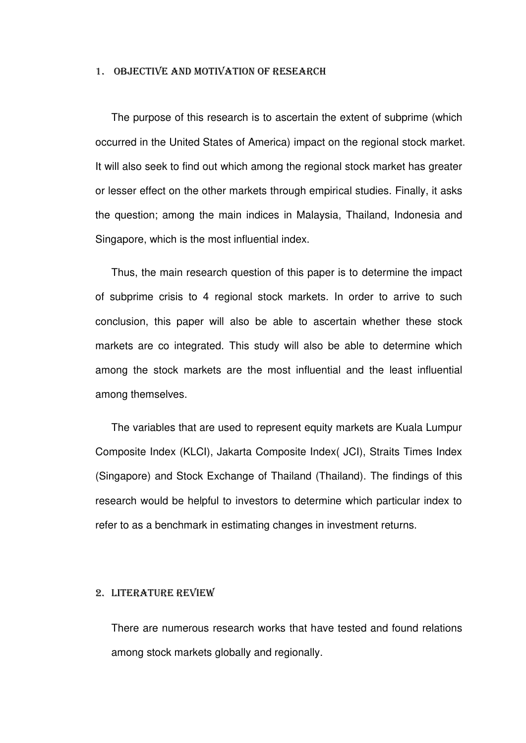#### 1. OBJECTIVE AND MOTIVATION OF RESEARCH

The purpose of this research is to ascertain the extent of subprime (which occurred in the United States of America) impact on the regional stock market. It will also seek to find out which among the regional stock market has greater or lesser effect on the other markets through empirical studies. Finally, it asks the question; among the main indices in Malaysia, Thailand, Indonesia and Singapore, which is the most influential index.

Thus, the main research question of this paper is to determine the impact of subprime crisis to 4 regional stock markets. In order to arrive to such conclusion, this paper will also be able to ascertain whether these stock markets are co integrated. This study will also be able to determine which among the stock markets are the most influential and the least influential among themselves.

The variables that are used to represent equity markets are Kuala Lumpur Composite Index (KLCI), Jakarta Composite Index( JCI), Straits Times Index (Singapore) and Stock Exchange of Thailand (Thailand). The findings of this research would be helpful to investors to determine which particular index to refer to as a benchmark in estimating changes in investment returns.

#### 2. Literature Review

There are numerous research works that have tested and found relations among stock markets globally and regionally.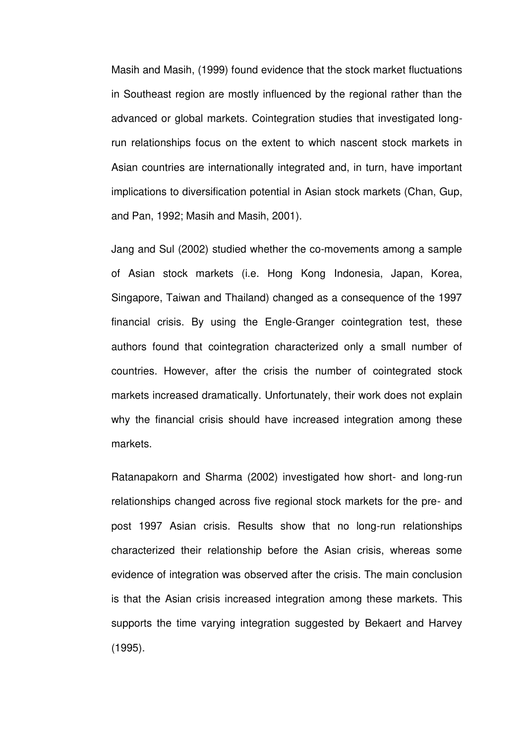Masih and Masih, (1999) found evidence that the stock market fluctuations in Southeast region are mostly influenced by the regional rather than the advanced or global markets. Cointegration studies that investigated longrun relationships focus on the extent to which nascent stock markets in Asian countries are internationally integrated and, in turn, have important implications to diversification potential in Asian stock markets (Chan, Gup, and Pan, 1992; Masih and Masih, 2001).

Jang and Sul (2002) studied whether the co-movements among a sample of Asian stock markets (i.e. Hong Kong Indonesia, Japan, Korea, Singapore, Taiwan and Thailand) changed as a consequence of the 1997 financial crisis. By using the Engle-Granger cointegration test, these authors found that cointegration characterized only a small number of countries. However, after the crisis the number of cointegrated stock markets increased dramatically. Unfortunately, their work does not explain why the financial crisis should have increased integration among these markets.

Ratanapakorn and Sharma (2002) investigated how short- and long-run relationships changed across five regional stock markets for the pre- and post 1997 Asian crisis. Results show that no long-run relationships characterized their relationship before the Asian crisis, whereas some evidence of integration was observed after the crisis. The main conclusion is that the Asian crisis increased integration among these markets. This supports the time varying integration suggested by Bekaert and Harvey (1995).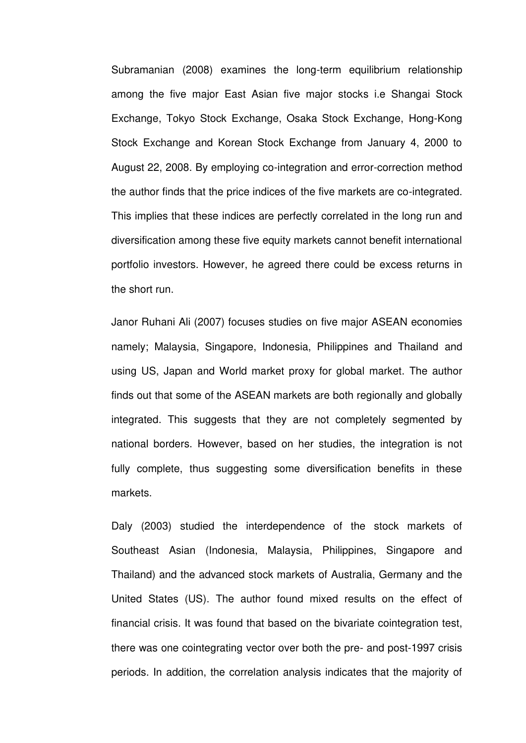Subramanian (2008) examines the long-term equilibrium relationship among the five major East Asian five major stocks i.e Shangai Stock Exchange, Tokyo Stock Exchange, Osaka Stock Exchange, Hong-Kong Stock Exchange and Korean Stock Exchange from January 4, 2000 to August 22, 2008. By employing co-integration and error-correction method the author finds that the price indices of the five markets are co-integrated. This implies that these indices are perfectly correlated in the long run and diversification among these five equity markets cannot benefit international portfolio investors. However, he agreed there could be excess returns in the short run.

Janor Ruhani Ali (2007) focuses studies on five major ASEAN economies namely; Malaysia, Singapore, Indonesia, Philippines and Thailand and using US, Japan and World market proxy for global market. The author finds out that some of the ASEAN markets are both regionally and globally integrated. This suggests that they are not completely segmented by national borders. However, based on her studies, the integration is not fully complete, thus suggesting some diversification benefits in these markets.

Daly (2003) studied the interdependence of the stock markets of Southeast Asian (Indonesia, Malaysia, Philippines, Singapore and Thailand) and the advanced stock markets of Australia, Germany and the United States (US). The author found mixed results on the effect of financial crisis. It was found that based on the bivariate cointegration test, there was one cointegrating vector over both the pre- and post-1997 crisis periods. In addition, the correlation analysis indicates that the majority of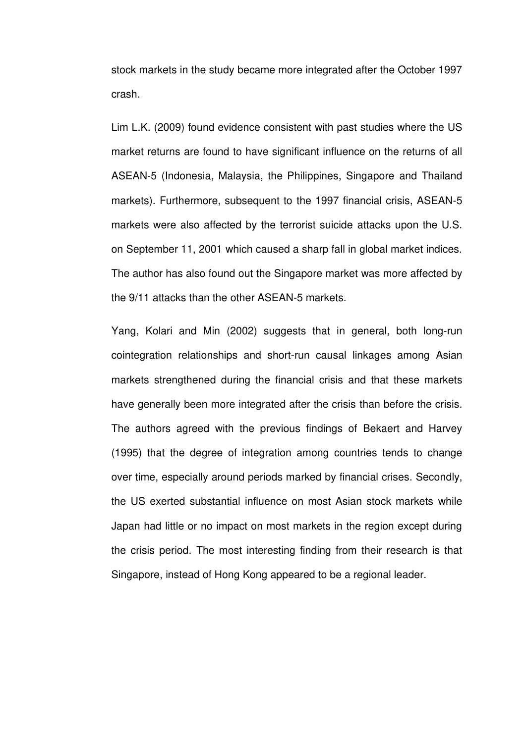stock markets in the study became more integrated after the October 1997 crash.

Lim L.K. (2009) found evidence consistent with past studies where the US market returns are found to have significant influence on the returns of all ASEAN-5 (Indonesia, Malaysia, the Philippines, Singapore and Thailand markets). Furthermore, subsequent to the 1997 financial crisis, ASEAN-5 markets were also affected by the terrorist suicide attacks upon the U.S. on September 11, 2001 which caused a sharp fall in global market indices. The author has also found out the Singapore market was more affected by the 9/11 attacks than the other ASEAN-5 markets.

Yang, Kolari and Min (2002) suggests that in general, both long-run cointegration relationships and short-run causal linkages among Asian markets strengthened during the financial crisis and that these markets have generally been more integrated after the crisis than before the crisis. The authors agreed with the previous findings of Bekaert and Harvey (1995) that the degree of integration among countries tends to change over time, especially around periods marked by financial crises. Secondly, the US exerted substantial influence on most Asian stock markets while Japan had little or no impact on most markets in the region except during the crisis period. The most interesting finding from their research is that Singapore, instead of Hong Kong appeared to be a regional leader.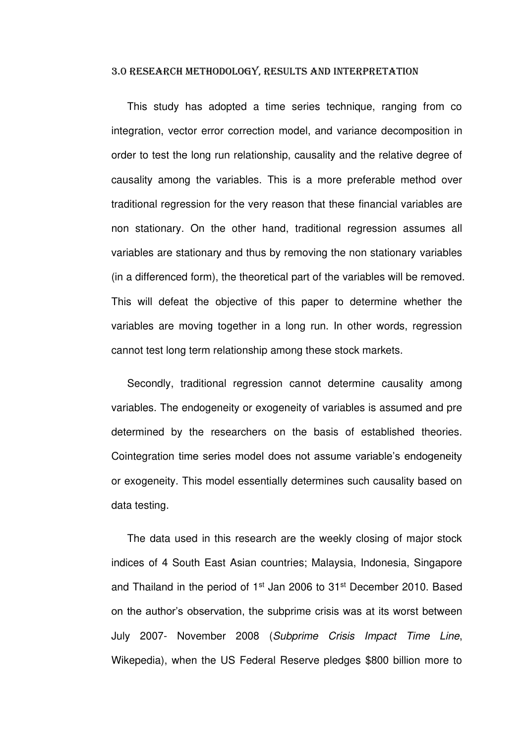#### 3.0 Research methodology, results and interpretation

This study has adopted a time series technique, ranging from co integration, vector error correction model, and variance decomposition in order to test the long run relationship, causality and the relative degree of causality among the variables. This is a more preferable method over traditional regression for the very reason that these financial variables are non stationary. On the other hand, traditional regression assumes all variables are stationary and thus by removing the non stationary variables (in a differenced form), the theoretical part of the variables will be removed. This will defeat the objective of this paper to determine whether the variables are moving together in a long run. In other words, regression cannot test long term relationship among these stock markets.

Secondly, traditional regression cannot determine causality among variables. The endogeneity or exogeneity of variables is assumed and pre determined by the researchers on the basis of established theories. Cointegration time series model does not assume variable's endogeneity or exogeneity. This model essentially determines such causality based on data testing.

The data used in this research are the weekly closing of major stock indices of 4 South East Asian countries; Malaysia, Indonesia, Singapore and Thailand in the period of 1<sup>st</sup> Jan 2006 to 31<sup>st</sup> December 2010. Based on the author's observation, the subprime crisis was at its worst between July 2007- November 2008 (Subprime Crisis Impact Time Line, Wikepedia), when the US Federal Reserve pledges \$800 billion more to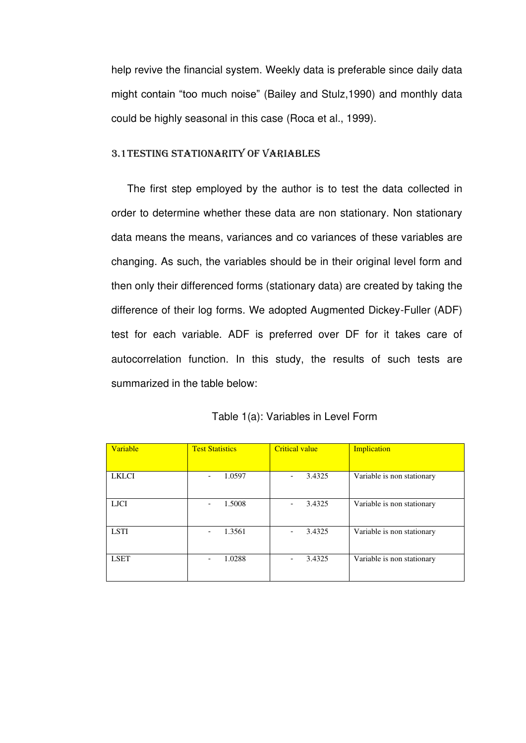help revive the financial system. Weekly data is preferable since daily data might contain "too much noise" (Bailey and Stulz,1990) and monthly data could be highly seasonal in this case (Roca et al., 1999).

## 3.1testing stationarITY of variables

The first step employed by the author is to test the data collected in order to determine whether these data are non stationary. Non stationary data means the means, variances and co variances of these variables are changing. As such, the variables should be in their original level form and then only their differenced forms (stationary data) are created by taking the difference of their log forms. We adopted Augmented Dickey-Fuller (ADF) test for each variable. ADF is preferred over DF for it takes care of autocorrelation function. In this study, the results of such tests are summarized in the table below:

| Variable     | <b>Test Statistics</b> | <b>Critical value</b>                  | Implication                |
|--------------|------------------------|----------------------------------------|----------------------------|
| <b>LKLCI</b> | 1.0597                 | 3.4325                                 | Variable is non stationary |
| <b>LJCI</b>  | 1.5008                 | 3.4325                                 | Variable is non stationary |
| <b>LSTI</b>  | 1.3561                 | 3.4325<br>$\qquad \qquad \blacksquare$ | Variable is non stationary |
| <b>LSET</b>  | 1.0288                 | 3.4325                                 | Variable is non stationary |

|  |  | Table 1(a): Variables in Level Form |  |  |
|--|--|-------------------------------------|--|--|
|--|--|-------------------------------------|--|--|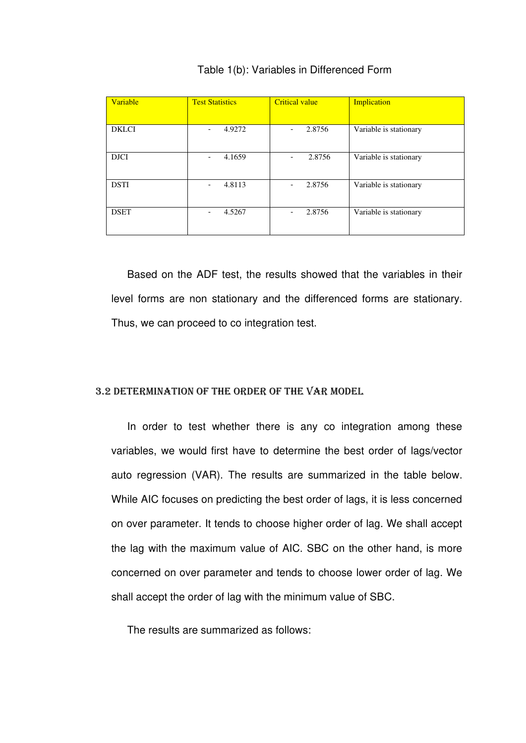| Variable     | <b>Test Statistics</b> | <b>Critical value</b> | Implication            |
|--------------|------------------------|-----------------------|------------------------|
| <b>DKLCI</b> | 4.9272                 | 2.8756                | Variable is stationary |
| <b>DJCI</b>  | 4.1659                 | 2.8756                | Variable is stationary |
| <b>DSTI</b>  | 4.8113                 | 2.8756                | Variable is stationary |
| <b>DSET</b>  | 4.5267                 | 2.8756                | Variable is stationary |

## Table 1(b): Variables in Differenced Form

Based on the ADF test, the results showed that the variables in their level forms are non stationary and the differenced forms are stationary. Thus, we can proceed to co integration test.

### 3.2 determination of THE order of the var model

In order to test whether there is any co integration among these variables, we would first have to determine the best order of lags/vector auto regression (VAR). The results are summarized in the table below. While AIC focuses on predicting the best order of lags, it is less concerned on over parameter. It tends to choose higher order of lag. We shall accept the lag with the maximum value of AIC. SBC on the other hand, is more concerned on over parameter and tends to choose lower order of lag. We shall accept the order of lag with the minimum value of SBC.

The results are summarized as follows: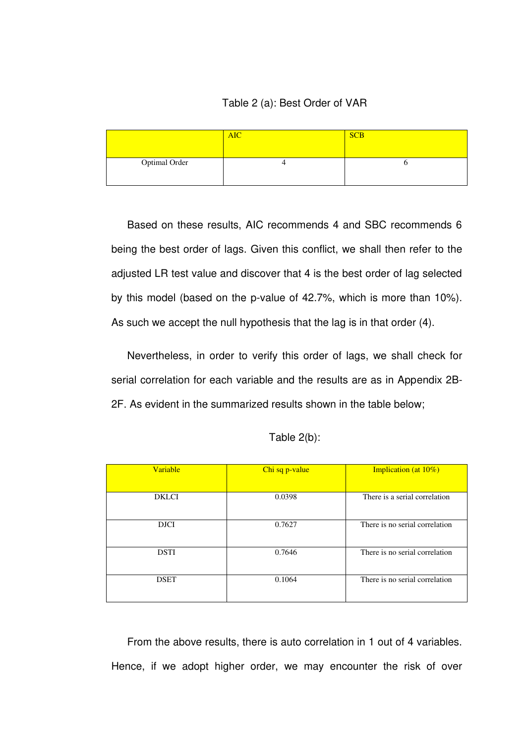

|               | <b>AIC</b> | $\overline{\text{CB}}$ |
|---------------|------------|------------------------|
| Optimal Order |            |                        |

Based on these results, AIC recommends 4 and SBC recommends 6 being the best order of lags. Given this conflict, we shall then refer to the adjusted LR test value and discover that 4 is the best order of lag selected by this model (based on the p-value of 42.7%, which is more than 10%). As such we accept the null hypothesis that the lag is in that order (4).

Nevertheless, in order to verify this order of lags, we shall check for serial correlation for each variable and the results are as in Appendix 2B-2F. As evident in the summarized results shown in the table below;

| Variable     | Chi sq p-value | Implication (at 10%)           |
|--------------|----------------|--------------------------------|
| <b>DKLCI</b> | 0.0398         | There is a serial correlation  |
| DJCI         | 0.7627         | There is no serial correlation |
| <b>DSTI</b>  | 0.7646         | There is no serial correlation |
| <b>DSET</b>  | 0.1064         | There is no serial correlation |

Table 2(b):

From the above results, there is auto correlation in 1 out of 4 variables. Hence, if we adopt higher order, we may encounter the risk of over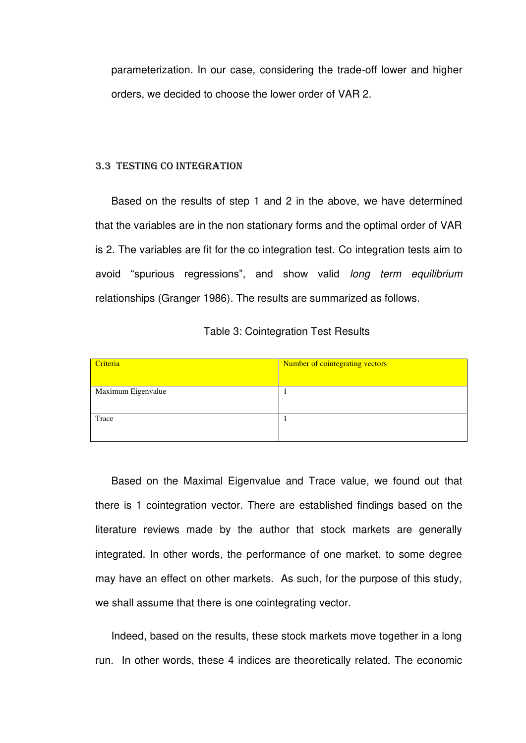parameterization. In our case, considering the trade-off lower and higher orders, we decided to choose the lower order of VAR 2.

#### 3.3 testing co integration

Based on the results of step 1 and 2 in the above, we have determined that the variables are in the non stationary forms and the optimal order of VAR is 2. The variables are fit for the co integration test. Co integration tests aim to avoid "spurious regressions", and show valid long term equilibrium relationships (Granger 1986). The results are summarized as follows.

## Table 3: Cointegration Test Results

| <b>Criteria</b>    | Number of cointegrating vectors |
|--------------------|---------------------------------|
|                    |                                 |
| Maximum Eigenvalue |                                 |
|                    |                                 |
| Trace              |                                 |
|                    |                                 |

Based on the Maximal Eigenvalue and Trace value, we found out that there is 1 cointegration vector. There are established findings based on the literature reviews made by the author that stock markets are generally integrated. In other words, the performance of one market, to some degree may have an effect on other markets. As such, for the purpose of this study, we shall assume that there is one cointegrating vector.

Indeed, based on the results, these stock markets move together in a long run. In other words, these 4 indices are theoretically related. The economic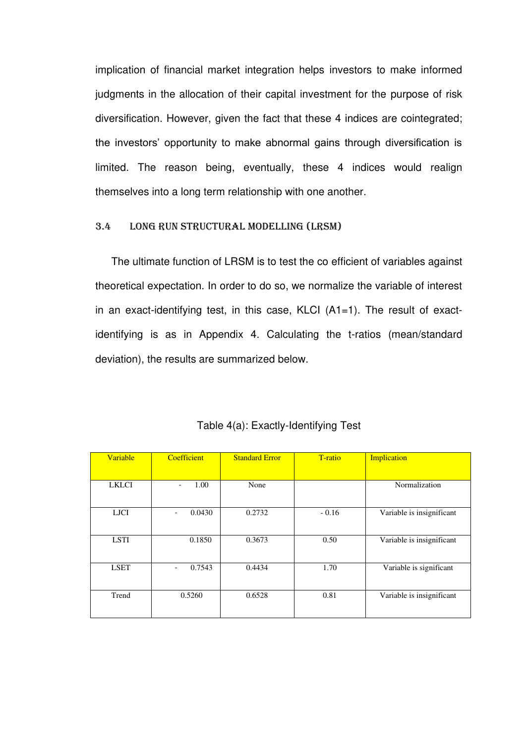implication of financial market integration helps investors to make informed judgments in the allocation of their capital investment for the purpose of risk diversification. However, given the fact that these 4 indices are cointegrated; the investors' opportunity to make abnormal gains through diversification is limited. The reason being, eventually, these 4 indices would realign themselves into a long term relationship with one another.

### 3.4 long run structural modelling (lrsm)

The ultimate function of LRSM is to test the co efficient of variables against theoretical expectation. In order to do so, we normalize the variable of interest in an exact-identifying test, in this case, KLCI (A1=1). The result of exactidentifying is as in Appendix 4. Calculating the t-ratios (mean/standard deviation), the results are summarized below.

| Variable     | Coefficient                        | <b>Standard Error</b> | T-ratio | Implication               |
|--------------|------------------------------------|-----------------------|---------|---------------------------|
| <b>LKLCI</b> | 1.00                               | None                  |         | Normalization             |
| <b>LJCI</b>  | 0.0430<br>$\overline{\phantom{a}}$ | 0.2732                | $-0.16$ | Variable is insignificant |
| <b>LSTI</b>  | 0.1850                             | 0.3673                | 0.50    | Variable is insignificant |
| <b>LSET</b>  | 0.7543<br>-                        | 0.4434                | 1.70    | Variable is significant   |
| Trend        | 0.5260                             | 0.6528                | 0.81    | Variable is insignificant |

Table 4(a): Exactly-Identifying Test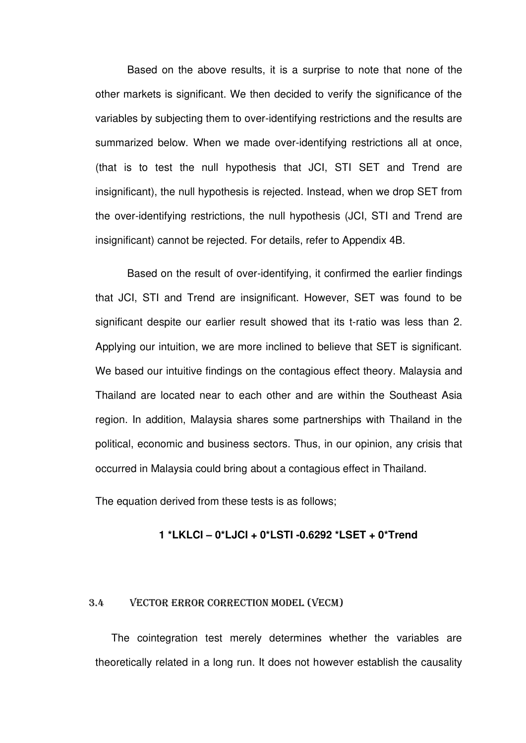Based on the above results, it is a surprise to note that none of the other markets is significant. We then decided to verify the significance of the variables by subjecting them to over-identifying restrictions and the results are summarized below. When we made over-identifying restrictions all at once, (that is to test the null hypothesis that JCI, STI SET and Trend are insignificant), the null hypothesis is rejected. Instead, when we drop SET from the over-identifying restrictions, the null hypothesis (JCI, STI and Trend are insignificant) cannot be rejected. For details, refer to Appendix 4B.

Based on the result of over-identifying, it confirmed the earlier findings that JCI, STI and Trend are insignificant. However, SET was found to be significant despite our earlier result showed that its t-ratio was less than 2. Applying our intuition, we are more inclined to believe that SET is significant. We based our intuitive findings on the contagious effect theory. Malaysia and Thailand are located near to each other and are within the Southeast Asia region. In addition, Malaysia shares some partnerships with Thailand in the political, economic and business sectors. Thus, in our opinion, any crisis that occurred in Malaysia could bring about a contagious effect in Thailand.

The equation derived from these tests is as follows;

#### **1 \*LKLCI – 0\*LJCI + 0\*LSTI -0.6292 \*LSET + 0\*Trend**

## 3.4 vector error correction model (vecm)

The cointegration test merely determines whether the variables are theoretically related in a long run. It does not however establish the causality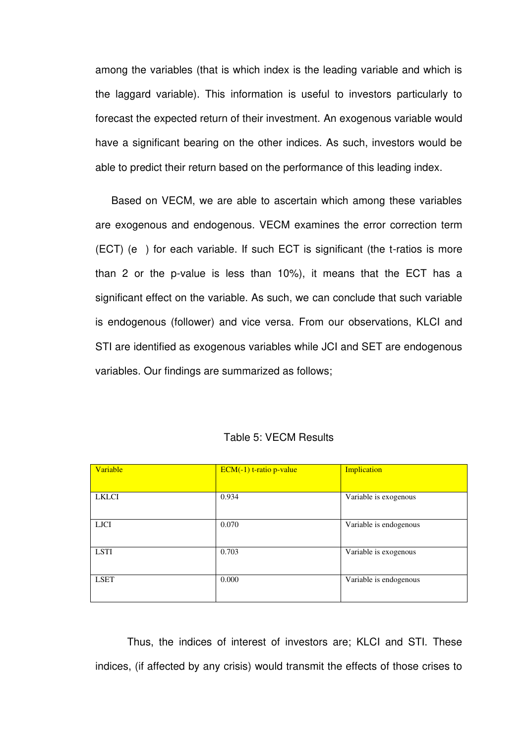among the variables (that is which index is the leading variable and which is the laggard variable). This information is useful to investors particularly to forecast the expected return of their investment. An exogenous variable would have a significant bearing on the other indices. As such, investors would be able to predict their return based on the performance of this leading index.

Based on VECM, we are able to ascertain which among these variables are exogenous and endogenous. VECM examines the error correction term (ECT) (e ) for each variable. If such ECT is significant (the t-ratios is more than 2 or the p-value is less than 10%), it means that the ECT has a significant effect on the variable. As such, we can conclude that such variable is endogenous (follower) and vice versa. From our observations, KLCI and STI are identified as exogenous variables while JCI and SET are endogenous variables. Our findings are summarized as follows;

| Variable     | $ECM(-1)$ t-ratio p-value | Implication            |
|--------------|---------------------------|------------------------|
| <b>LKLCI</b> | 0.934                     | Variable is exogenous  |
| <b>LJCI</b>  | 0.070                     | Variable is endogenous |
| <b>LSTI</b>  | 0.703                     | Variable is exogenous  |
| <b>LSET</b>  | 0.000                     | Variable is endogenous |

Table 5: VECM Results

Thus, the indices of interest of investors are; KLCI and STI. These indices, (if affected by any crisis) would transmit the effects of those crises to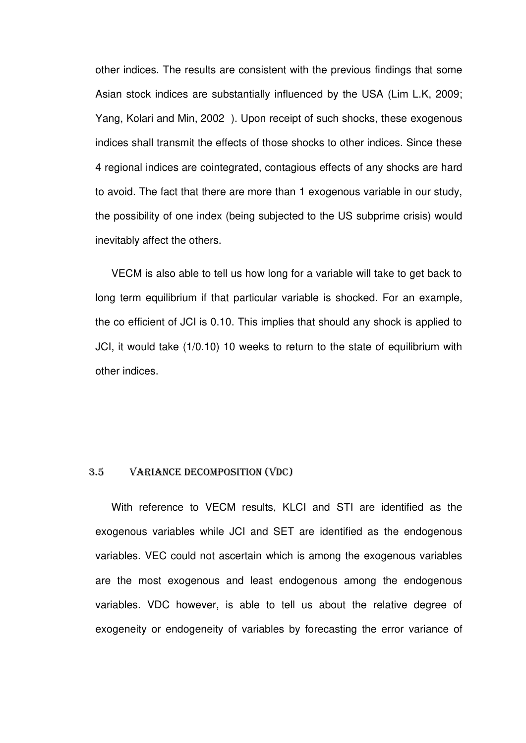other indices. The results are consistent with the previous findings that some Asian stock indices are substantially influenced by the USA (Lim L.K, 2009; Yang, Kolari and Min, 2002 ). Upon receipt of such shocks, these exogenous indices shall transmit the effects of those shocks to other indices. Since these 4 regional indices are cointegrated, contagious effects of any shocks are hard to avoid. The fact that there are more than 1 exogenous variable in our study, the possibility of one index (being subjected to the US subprime crisis) would inevitably affect the others.

VECM is also able to tell us how long for a variable will take to get back to long term equilibrium if that particular variable is shocked. For an example, the co efficient of JCI is 0.10. This implies that should any shock is applied to JCI, it would take (1/0.10) 10 weeks to return to the state of equilibrium with other indices.

#### 3.5 variance decomposition (vdc)

With reference to VECM results, KLCI and STI are identified as the exogenous variables while JCI and SET are identified as the endogenous variables. VEC could not ascertain which is among the exogenous variables are the most exogenous and least endogenous among the endogenous variables. VDC however, is able to tell us about the relative degree of exogeneity or endogeneity of variables by forecasting the error variance of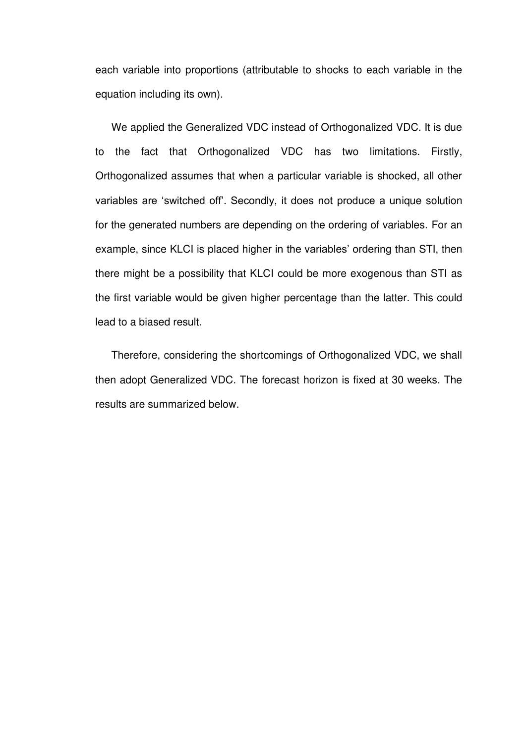each variable into proportions (attributable to shocks to each variable in the equation including its own).

We applied the Generalized VDC instead of Orthogonalized VDC. It is due to the fact that Orthogonalized VDC has two limitations. Firstly, Orthogonalized assumes that when a particular variable is shocked, all other variables are 'switched off'. Secondly, it does not produce a unique solution for the generated numbers are depending on the ordering of variables. For an example, since KLCI is placed higher in the variables' ordering than STI, then there might be a possibility that KLCI could be more exogenous than STI as the first variable would be given higher percentage than the latter. This could lead to a biased result.

Therefore, considering the shortcomings of Orthogonalized VDC, we shall then adopt Generalized VDC. The forecast horizon is fixed at 30 weeks. The results are summarized below.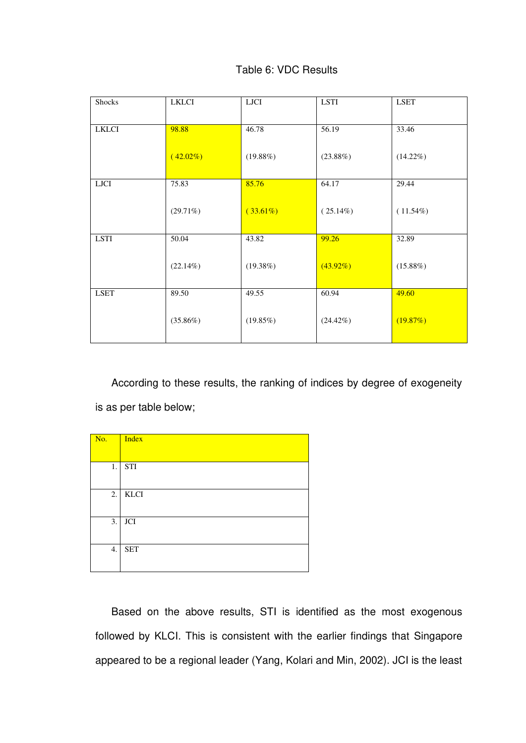|  |  |  | Table 6: VDC Results |
|--|--|--|----------------------|
|--|--|--|----------------------|

| Shocks       | <b>LKLCI</b> | <b>LJCI</b> | <b>LSTI</b> | <b>LSET</b> |
|--------------|--------------|-------------|-------------|-------------|
| <b>LKLCI</b> | 98.88        | 46.78       | 56.19       | 33.46       |
|              | $(42.02\%)$  | (19.88%)    | $(23.88\%)$ | $(14.22\%)$ |
| <b>LJCI</b>  | 75.83        | 85.76       | 64.17       | 29.44       |
|              | (29.71%)     | $(33.61\%)$ | $(25.14\%)$ | $(11.54\%)$ |
| <b>LSTI</b>  | 50.04        | 43.82       | 99.26       | 32.89       |
|              | $(22.14\%)$  | (19.38%)    | $(43.92\%)$ | $(15.88\%)$ |
| <b>LSET</b>  | 89.50        | 49.55       | 60.94       | 49.60       |
|              | $(35.86\%)$  | (19.85%)    | $(24.42\%)$ | (19.87%)    |

According to these results, the ranking of indices by degree of exogeneity is as per table below;

| No. | <b>Index</b> |
|-----|--------------|
| 1.  | STI          |
| 2.  | <b>KLCI</b>  |
| 3.  | $\rm JCI$    |
| 4.  | <b>SET</b>   |

Based on the above results, STI is identified as the most exogenous followed by KLCI. This is consistent with the earlier findings that Singapore appeared to be a regional leader (Yang, Kolari and Min, 2002). JCI is the least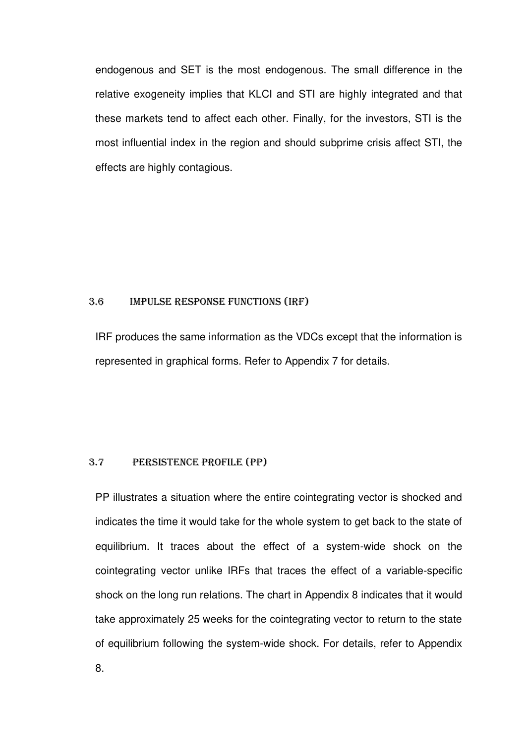endogenous and SET is the most endogenous. The small difference in the relative exogeneity implies that KLCI and STI are highly integrated and that these markets tend to affect each other. Finally, for the investors, STI is the most influential index in the region and should subprime crisis affect STI, the effects are highly contagious.

#### 3.6 Impulse response functionS (irf)

IRF produces the same information as the VDCs except that the information is represented in graphical forms. Refer to Appendix 7 for details.

## 3.7 Persistence profile (pp)

PP illustrates a situation where the entire cointegrating vector is shocked and indicates the time it would take for the whole system to get back to the state of equilibrium. It traces about the effect of a system-wide shock on the cointegrating vector unlike IRFs that traces the effect of a variable-specific shock on the long run relations. The chart in Appendix 8 indicates that it would take approximately 25 weeks for the cointegrating vector to return to the state of equilibrium following the system-wide shock. For details, refer to Appendix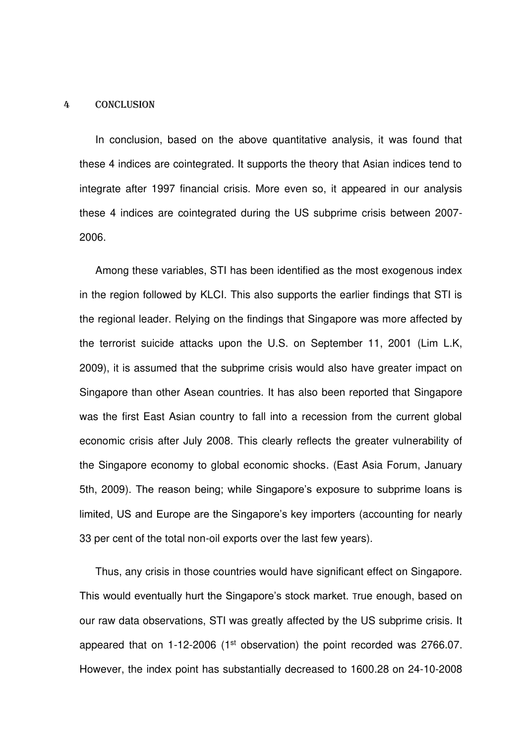#### 4 Conclusion

In conclusion, based on the above quantitative analysis, it was found that these 4 indices are cointegrated. It supports the theory that Asian indices tend to integrate after 1997 financial crisis. More even so, it appeared in our analysis these 4 indices are cointegrated during the US subprime crisis between 2007- 2006.

Among these variables, STI has been identified as the most exogenous index in the region followed by KLCI. This also supports the earlier findings that STI is the regional leader. Relying on the findings that Singapore was more affected by the terrorist suicide attacks upon the U.S. on September 11, 2001 (Lim L.K, 2009), it is assumed that the subprime crisis would also have greater impact on Singapore than other Asean countries. It has also been reported that Singapore was the first East Asian country to fall into a recession from the current global economic crisis after July 2008. This clearly reflects the greater vulnerability of the Singapore economy to global economic shocks. (East Asia Forum, January 5th, 2009). The reason being; while Singapore's exposure to subprime loans is limited, US and Europe are the Singapore's key importers (accounting for nearly 33 per cent of the total non-oil exports over the last few years).

Thus, any crisis in those countries would have significant effect on Singapore. This would eventually hurt the Singapore's stock market. True enough, based on our raw data observations, STI was greatly affected by the US subprime crisis. It appeared that on  $1-12-2006$  ( $1<sup>st</sup>$  observation) the point recorded was 2766.07. However, the index point has substantially decreased to 1600.28 on 24-10-2008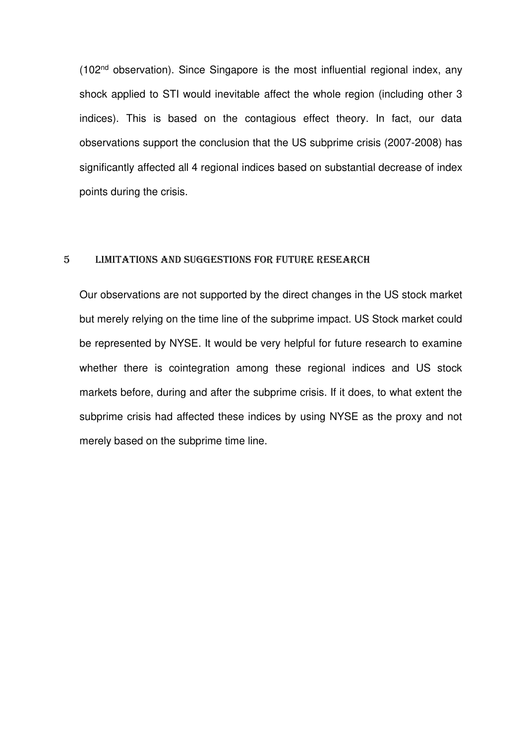(102nd observation). Since Singapore is the most influential regional index, any shock applied to STI would inevitable affect the whole region (including other 3 indices). This is based on the contagious effect theory. In fact, our data observations support the conclusion that the US subprime crisis (2007-2008) has significantly affected all 4 regional indices based on substantial decrease of index points during the crisis.

# 5 Limitations and suggestions for future research

Our observations are not supported by the direct changes in the US stock market but merely relying on the time line of the subprime impact. US Stock market could be represented by NYSE. It would be very helpful for future research to examine whether there is cointegration among these regional indices and US stock markets before, during and after the subprime crisis. If it does, to what extent the subprime crisis had affected these indices by using NYSE as the proxy and not merely based on the subprime time line.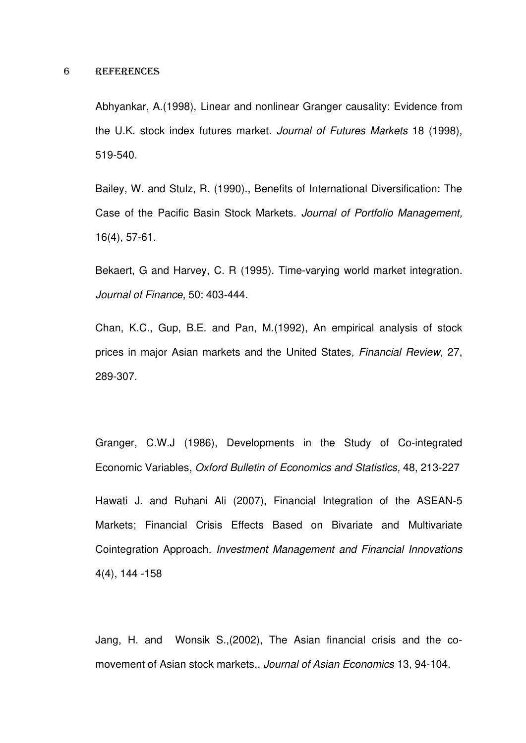Abhyankar, A.(1998), Linear and nonlinear Granger causality: Evidence from the U.K. stock index futures market. Journal of Futures Markets 18 (1998), 519-540.

Bailey, W. and Stulz, R. (1990)., Benefits of International Diversification: The Case of the Pacific Basin Stock Markets. Journal of Portfolio Management, 16(4), 57-61.

Bekaert, G and Harvey, C. R (1995). Time-varying world market integration. Journal of Finance, 50: 403-444.

Chan, K.C., Gup, B.E. and Pan, M.(1992), An empirical analysis of stock prices in major Asian markets and the United States, Financial Review, 27, 289-307.

Granger, C.W.J (1986), Developments in the Study of Co-integrated Economic Variables, Oxford Bulletin of Economics and Statistics, 48, 213-227

Hawati J. and Ruhani Ali (2007), Financial Integration of the ASEAN-5 Markets; Financial Crisis Effects Based on Bivariate and Multivariate Cointegration Approach. Investment Management and Financial Innovations 4(4), 144 -158

Jang, H. and Wonsik S.,(2002), The Asian financial crisis and the comovement of Asian stock markets,. Journal of Asian Economics 13, 94-104.